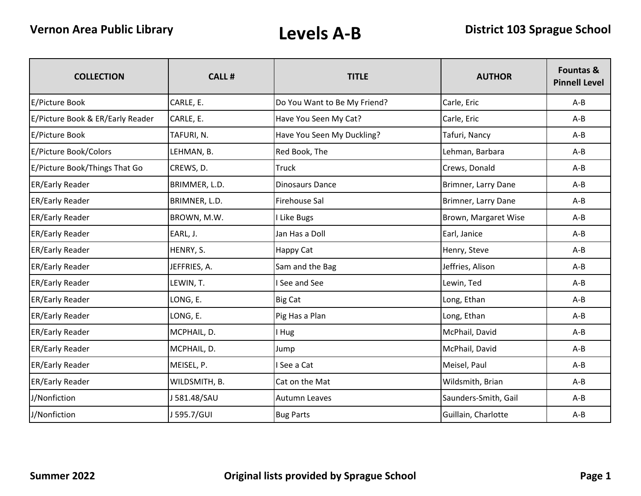| <b>COLLECTION</b>                | <b>CALL#</b>  | <b>TITLE</b>                 | <b>AUTHOR</b>        | Fountas &<br><b>Pinnell Level</b> |
|----------------------------------|---------------|------------------------------|----------------------|-----------------------------------|
| E/Picture Book                   | CARLE, E.     | Do You Want to Be My Friend? | Carle, Eric          | $A - B$                           |
| E/Picture Book & ER/Early Reader | CARLE, E.     | Have You Seen My Cat?        | Carle, Eric          | $A - B$                           |
| E/Picture Book                   | TAFURI, N.    | Have You Seen My Duckling?   | Tafuri, Nancy        | $A - B$                           |
| E/Picture Book/Colors            | LEHMAN, B.    | Red Book, The                | Lehman, Barbara      | $A - B$                           |
| E/Picture Book/Things That Go    | CREWS, D.     | <b>Truck</b>                 | Crews, Donald        | $A - B$                           |
| ER/Early Reader                  | BRIMMER, L.D. | <b>Dinosaurs Dance</b>       | Brimner, Larry Dane  | $A-B$                             |
| ER/Early Reader                  | BRIMNER, L.D. | <b>Firehouse Sal</b>         | Brimner, Larry Dane  | $A - B$                           |
| <b>ER/Early Reader</b>           | BROWN, M.W.   | Like Bugs                    | Brown, Margaret Wise | $A - B$                           |
| <b>ER/Early Reader</b>           | EARL, J.      | Jan Has a Doll               | Earl, Janice         | $A - B$                           |
| ER/Early Reader                  | HENRY, S.     | <b>Happy Cat</b>             | Henry, Steve         | $A - B$                           |
| <b>ER/Early Reader</b>           | JEFFRIES, A.  | Sam and the Bag              | Jeffries, Alison     | $A - B$                           |
| <b>ER/Early Reader</b>           | LEWIN, T.     | <b>See and See</b>           | Lewin, Ted           | $A - B$                           |
| ER/Early Reader                  | LONG, E.      | <b>Big Cat</b>               | Long, Ethan          | $A-B$                             |
| <b>ER/Early Reader</b>           | LONG, E.      | Pig Has a Plan               | Long, Ethan          | $A - B$                           |
| <b>ER/Early Reader</b>           | MCPHAIL, D.   | I Hug                        | McPhail, David       | $A - B$                           |
| ER/Early Reader                  | MCPHAIL, D.   | Jump                         | McPhail, David       | $A - B$                           |
| ER/Early Reader                  | MEISEL, P.    | I See a Cat                  | Meisel, Paul         | $A - B$                           |
| ER/Early Reader                  | WILDSMITH, B. | Cat on the Mat               | Wildsmith, Brian     | $A - B$                           |
| J/Nonfiction                     | J 581.48/SAU  | <b>Autumn Leaves</b>         | Saunders-Smith, Gail | $A - B$                           |
| J/Nonfiction                     | J 595.7/GUI   | <b>Bug Parts</b>             | Guillain, Charlotte  | $A - B$                           |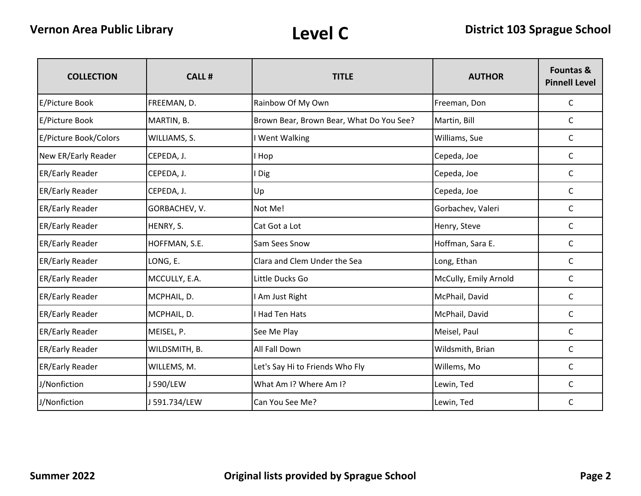| <b>COLLECTION</b>      | <b>CALL#</b>  | <b>TITLE</b>                             | <b>AUTHOR</b>         | Fountas &<br><b>Pinnell Level</b> |
|------------------------|---------------|------------------------------------------|-----------------------|-----------------------------------|
| E/Picture Book         | FREEMAN, D.   | Rainbow Of My Own                        | Freeman, Don          | $\mathsf{C}$                      |
| E/Picture Book         | MARTIN, B.    | Brown Bear, Brown Bear, What Do You See? | Martin, Bill          | C                                 |
| E/Picture Book/Colors  | WILLIAMS, S.  | I Went Walking                           | Williams, Sue         | $\mathsf{C}$                      |
| New ER/Early Reader    | CEPEDA, J.    | I Hop                                    | Cepeda, Joe           | C                                 |
| <b>ER/Early Reader</b> | CEPEDA, J.    | I Dig                                    | Cepeda, Joe           | $\mathsf{C}$                      |
| ER/Early Reader        | CEPEDA, J.    | Up                                       | Cepeda, Joe           | C                                 |
| <b>ER/Early Reader</b> | GORBACHEV, V. | Not Me!                                  | Gorbachev, Valeri     | $\mathsf{C}$                      |
| <b>ER/Early Reader</b> | HENRY, S.     | Cat Got a Lot                            | Henry, Steve          | C                                 |
| <b>ER/Early Reader</b> | HOFFMAN, S.E. | Sam Sees Snow                            | Hoffman, Sara E.      | $\mathsf{C}$                      |
| ER/Early Reader        | LONG, E.      | Clara and Clem Under the Sea             | Long, Ethan           | $\mathsf{C}$                      |
| <b>ER/Early Reader</b> | MCCULLY, E.A. | Little Ducks Go                          | McCully, Emily Arnold | C                                 |
| <b>ER/Early Reader</b> | MCPHAIL, D.   | I Am Just Right                          | McPhail, David        | C                                 |
| ER/Early Reader        | MCPHAIL, D.   | I Had Ten Hats                           | McPhail, David        | C                                 |
| <b>ER/Early Reader</b> | MEISEL, P.    | See Me Play                              | Meisel, Paul          | $\mathsf C$                       |
| <b>ER/Early Reader</b> | WILDSMITH, B. | All Fall Down                            | Wildsmith, Brian      | C                                 |
| ER/Early Reader        | WILLEMS, M.   | Let's Say Hi to Friends Who Fly          | Willems, Mo           | C                                 |
| J/Nonfiction           | J 590/LEW     | What Am I? Where Am I?                   | Lewin, Ted            | $\mathsf{C}$                      |
| J/Nonfiction           | J 591.734/LEW | Can You See Me?                          | Lewin, Ted            | C                                 |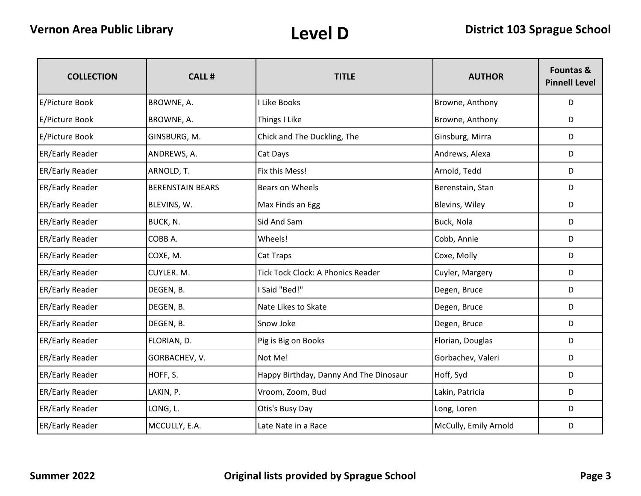| <b>COLLECTION</b>      | <b>CALL#</b>            | <b>TITLE</b>                             | <b>AUTHOR</b>         | <b>Fountas &amp;</b><br><b>Pinnell Level</b> |
|------------------------|-------------------------|------------------------------------------|-----------------------|----------------------------------------------|
| E/Picture Book         | BROWNE, A.              | I Like Books                             | Browne, Anthony       | D                                            |
| <b>E/Picture Book</b>  | BROWNE, A.              | Things I Like                            | Browne, Anthony       | D                                            |
| E/Picture Book         | GINSBURG, M.            | Chick and The Duckling, The              | Ginsburg, Mirra       | D                                            |
| ER/Early Reader        | ANDREWS, A.             | Cat Days                                 | Andrews, Alexa        | D                                            |
| ER/Early Reader        | ARNOLD, T.              | Fix this Mess!                           | Arnold, Tedd          | D                                            |
| ER/Early Reader        | <b>BERENSTAIN BEARS</b> | Bears on Wheels                          | Berenstain, Stan      | D                                            |
| <b>ER/Early Reader</b> | BLEVINS, W.             | Max Finds an Egg                         | Blevins, Wiley        | D                                            |
| ER/Early Reader        | BUCK, N.                | Sid And Sam                              | Buck, Nola            | D                                            |
| ER/Early Reader        | COBB A.                 | Wheels!                                  | Cobb, Annie           | D                                            |
| <b>ER/Early Reader</b> | COXE, M.                | Cat Traps                                | Coxe, Molly           | D                                            |
| <b>ER/Early Reader</b> | CUYLER. M.              | <b>Tick Tock Clock: A Phonics Reader</b> | Cuyler, Margery       | D                                            |
| ER/Early Reader        | DEGEN, B.               | I Said "Bed!"                            | Degen, Bruce          | D                                            |
| <b>ER/Early Reader</b> | DEGEN, B.               | Nate Likes to Skate                      | Degen, Bruce          | D                                            |
| <b>ER/Early Reader</b> | DEGEN, B.               | Snow Joke                                | Degen, Bruce          | D                                            |
| ER/Early Reader        | FLORIAN, D.             | Pig is Big on Books                      | Florian, Douglas      | D                                            |
| <b>ER/Early Reader</b> | GORBACHEV, V.           | Not Me!                                  | Gorbachev, Valeri     | D                                            |
| ER/Early Reader        | HOFF, S.                | Happy Birthday, Danny And The Dinosaur   | Hoff, Syd             | D                                            |
| ER/Early Reader        | LAKIN, P.               | Vroom, Zoom, Bud                         | Lakin, Patricia       | D                                            |
| ER/Early Reader        | LONG, L.                | Otis's Busy Day                          | Long, Loren           | D                                            |
| <b>ER/Early Reader</b> | MCCULLY, E.A.           | Late Nate in a Race                      | McCully, Emily Arnold | D                                            |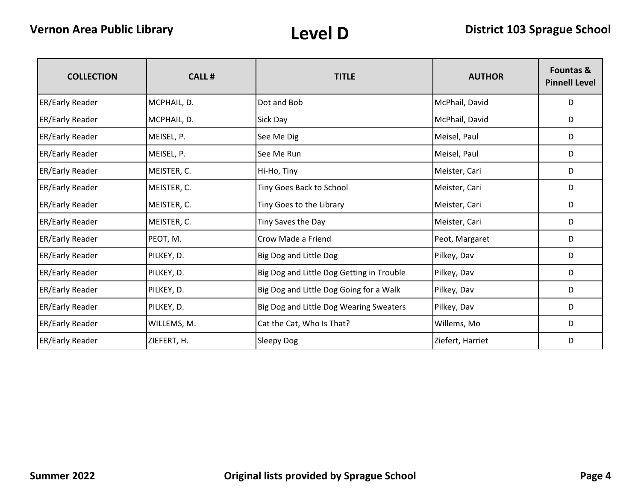| <b>COLLECTION</b>      | <b>CALL#</b> | <b>TITLE</b>                              | <b>AUTHOR</b>    | <b>Fountas &amp;</b><br><b>Pinnell Level</b> |
|------------------------|--------------|-------------------------------------------|------------------|----------------------------------------------|
| <b>ER/Early Reader</b> | MCPHAIL, D.  | Dot and Bob                               | McPhail, David   | D                                            |
| <b>ER/Early Reader</b> | MCPHAIL, D.  | Sick Day                                  | McPhail, David   | D                                            |
| <b>ER/Early Reader</b> | MEISEL, P.   | See Me Dig                                | Meisel, Paul     | D                                            |
| <b>ER/Early Reader</b> | MEISEL, P.   | See Me Run                                | Meisel, Paul     | D                                            |
| <b>ER/Early Reader</b> | MEISTER, C.  | Hi-Ho, Tiny                               | Meister, Cari    | D                                            |
| <b>ER/Early Reader</b> | MEISTER, C.  | Tiny Goes Back to School                  | Meister, Cari    | D                                            |
| <b>ER/Early Reader</b> | MEISTER, C.  | Tiny Goes to the Library                  | Meister, Cari    | D                                            |
| <b>ER/Early Reader</b> | MEISTER, C.  | Tiny Saves the Day                        | Meister, Cari    | D                                            |
| <b>ER/Early Reader</b> | PEOT, M.     | Crow Made a Friend                        | Peot, Margaret   | D                                            |
| <b>ER/Early Reader</b> | PILKEY, D.   | Big Dog and Little Dog                    | Pilkey, Dav      | D                                            |
| <b>ER/Early Reader</b> | PILKEY, D.   | Big Dog and Little Dog Getting in Trouble | Pilkey, Dav      | D                                            |
| <b>ER/Early Reader</b> | PILKEY, D.   | Big Dog and Little Dog Going for a Walk   | Pilkey, Dav      | D                                            |
| <b>ER/Early Reader</b> | PILKEY, D.   | Big Dog and Little Dog Wearing Sweaters   | Pilkey, Dav      | D                                            |
| <b>ER/Early Reader</b> | WILLEMS, M.  | Cat the Cat, Who Is That?                 | Willems, Mo      | D                                            |
| <b>ER/Early Reader</b> | ZIEFERT, H.  | Sleepy Dog                                | Ziefert, Harriet | D                                            |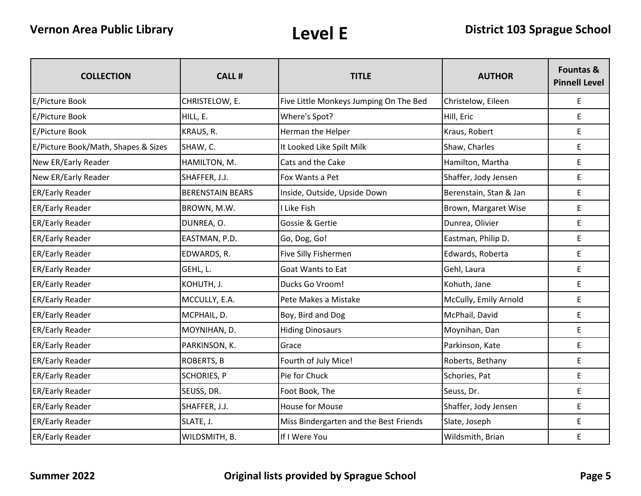| <b>COLLECTION</b>                   | <b>CALL#</b>            | <b>TITLE</b>                           | <b>AUTHOR</b>          | <b>Fountas &amp;</b><br><b>Pinnell Level</b> |
|-------------------------------------|-------------------------|----------------------------------------|------------------------|----------------------------------------------|
| E/Picture Book                      | CHRISTELOW, E.          | Five Little Monkeys Jumping On The Bed | Christelow, Eileen     | E                                            |
| <b>E/Picture Book</b>               | HILL, E.                | Where's Spot?                          | Hill, Eric             | E                                            |
| E/Picture Book                      | KRAUS, R.               | Herman the Helper                      | Kraus, Robert          | E                                            |
| E/Picture Book/Math, Shapes & Sizes | SHAW, C.                | It Looked Like Spilt Milk              | Shaw, Charles          | E                                            |
| New ER/Early Reader                 | HAMILTON, M.            | Cats and the Cake                      | Hamilton, Martha       | E                                            |
| New ER/Early Reader                 | SHAFFER, J.J.           | Fox Wants a Pet                        | Shaffer, Jody Jensen   | E                                            |
| ER/Early Reader                     | <b>BERENSTAIN BEARS</b> | Inside, Outside, Upside Down           | Berenstain, Stan & Jan | $\mathsf E$                                  |
| ER/Early Reader                     | BROWN, M.W.             | I Like Fish                            | Brown, Margaret Wise   | $\mathsf E$                                  |
| <b>ER/Early Reader</b>              | DUNREA, O.              | Gossie & Gertie                        | Dunrea, Olivier        | E                                            |
| <b>ER/Early Reader</b>              | EASTMAN, P.D.           | Go, Dog, Go!                           | Eastman, Philip D.     | E                                            |
| <b>ER/Early Reader</b>              | EDWARDS, R.             | Five Silly Fishermen                   | Edwards, Roberta       | E                                            |
| ER/Early Reader                     | GEHL, L.                | <b>Goat Wants to Eat</b>               | Gehl, Laura            | E                                            |
| <b>ER/Early Reader</b>              | KOHUTH, J.              | Ducks Go Vroom!                        | Kohuth, Jane           | E                                            |
| ER/Early Reader                     | MCCULLY, E.A.           | Pete Makes a Mistake                   | McCully, Emily Arnold  | E                                            |
| <b>ER/Early Reader</b>              | MCPHAIL, D.             | Boy, Bird and Dog                      | McPhail, David         | E                                            |
| ER/Early Reader                     | MOYNIHAN, D.            | <b>Hiding Dinosaurs</b>                | Moynihan, Dan          | E                                            |
| <b>ER/Early Reader</b>              | PARKINSON, K.           | Grace                                  | Parkinson, Kate        | E                                            |
| <b>ER/Early Reader</b>              | <b>ROBERTS, B</b>       | Fourth of July Mice!                   | Roberts, Bethany       | E                                            |
| ER/Early Reader                     | <b>SCHORIES, P</b>      | Pie for Chuck                          | Schories, Pat          | E                                            |
| <b>ER/Early Reader</b>              | SEUSS, DR.              | Foot Book, The                         | Seuss, Dr.             | E                                            |
| <b>ER/Early Reader</b>              | SHAFFER, J.J.           | <b>House for Mouse</b>                 | Shaffer, Jody Jensen   | E                                            |
| ER/Early Reader                     | SLATE, J.               | Miss Bindergarten and the Best Friends | Slate, Joseph          | $\mathsf E$                                  |
| <b>ER/Early Reader</b>              | WILDSMITH, B.           | If I Were You                          | Wildsmith, Brian       | E                                            |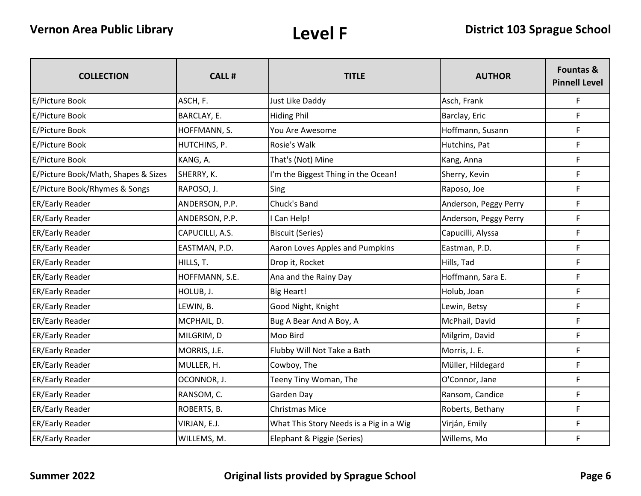| <b>COLLECTION</b>                   | <b>CALL#</b>    | <b>TITLE</b>                            | <b>AUTHOR</b>         | Fountas &<br><b>Pinnell Level</b> |
|-------------------------------------|-----------------|-----------------------------------------|-----------------------|-----------------------------------|
| <b>E/Picture Book</b>               | ASCH, F.        | Just Like Daddy                         | Asch, Frank           | $\mathsf F$                       |
| E/Picture Book                      | BARCLAY, E.     | <b>Hiding Phil</b>                      | Barclay, Eric         | $\mathsf F$                       |
| E/Picture Book                      | HOFFMANN, S.    | You Are Awesome                         | Hoffmann, Susann      | $\mathsf F$                       |
| E/Picture Book                      | HUTCHINS, P.    | Rosie's Walk                            | Hutchins, Pat         | F                                 |
| E/Picture Book                      | KANG, A.        | That's (Not) Mine                       | Kang, Anna            | F                                 |
| E/Picture Book/Math, Shapes & Sizes | SHERRY, K.      | I'm the Biggest Thing in the Ocean!     | Sherry, Kevin         | $\mathsf F$                       |
| E/Picture Book/Rhymes & Songs       | RAPOSO, J.      | Sing                                    | Raposo, Joe           | F                                 |
| ER/Early Reader                     | ANDERSON, P.P.  | Chuck's Band                            | Anderson, Peggy Perry | $\mathsf F$                       |
| ER/Early Reader                     | ANDERSON, P.P.  | I Can Help!                             | Anderson, Peggy Perry | $\mathsf F$                       |
| ER/Early Reader                     | CAPUCILLI, A.S. | <b>Biscuit (Series)</b>                 | Capucilli, Alyssa     | F                                 |
| ER/Early Reader                     | EASTMAN, P.D.   | Aaron Loves Apples and Pumpkins         | Eastman, P.D.         | $\mathsf F$                       |
| <b>ER/Early Reader</b>              | HILLS, T.       | Drop it, Rocket                         | Hills, Tad            | F                                 |
| <b>ER/Early Reader</b>              | HOFFMANN, S.E.  | Ana and the Rainy Day                   | Hoffmann, Sara E.     | $\mathsf F$                       |
| ER/Early Reader                     | HOLUB, J.       | <b>Big Heart!</b>                       | Holub, Joan           | $\mathsf F$                       |
| ER/Early Reader                     | LEWIN, B.       | Good Night, Knight                      | Lewin, Betsy          | $\mathsf F$                       |
| <b>ER/Early Reader</b>              | MCPHAIL, D.     | Bug A Bear And A Boy, A                 | McPhail, David        | $\mathsf F$                       |
| <b>ER/Early Reader</b>              | MILGRIM, D      | Moo Bird                                | Milgrim, David        | $\mathsf F$                       |
| ER/Early Reader                     | MORRIS, J.E.    | Flubby Will Not Take a Bath             | Morris, J. E.         | F                                 |
| ER/Early Reader                     | MULLER, H.      | Cowboy, The                             | Müller, Hildegard     | F                                 |
| ER/Early Reader                     | OCONNOR, J.     | Teeny Tiny Woman, The                   | O'Connor, Jane        | F                                 |
| ER/Early Reader                     | RANSOM, C.      | Garden Day                              | Ransom, Candice       | F                                 |
| ER/Early Reader                     | ROBERTS, B.     | <b>Christmas Mice</b>                   | Roberts, Bethany      | $\mathsf F$                       |
| <b>ER/Early Reader</b>              | VIRJAN, E.J.    | What This Story Needs is a Pig in a Wig | Virján, Emily         | $\mathsf F$                       |
| <b>ER/Early Reader</b>              | WILLEMS, M.     | Elephant & Piggie (Series)              | Willems, Mo           | $\mathsf F$                       |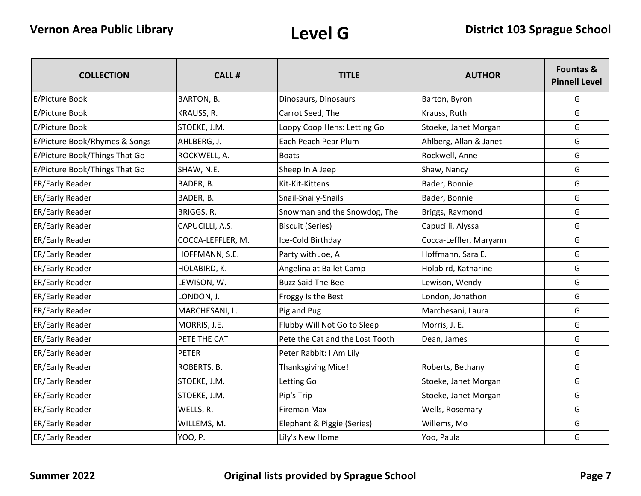| <b>COLLECTION</b>             | <b>CALL#</b>      | <b>TITLE</b>                    | <b>AUTHOR</b>          | <b>Fountas &amp;</b><br><b>Pinnell Level</b> |
|-------------------------------|-------------------|---------------------------------|------------------------|----------------------------------------------|
| E/Picture Book                | BARTON, B.        | Dinosaurs, Dinosaurs            | Barton, Byron          | G                                            |
| E/Picture Book                | KRAUSS, R.        | Carrot Seed, The                | Krauss, Ruth           | G                                            |
| E/Picture Book                | STOEKE, J.M.      | Loopy Coop Hens: Letting Go     | Stoeke, Janet Morgan   | G                                            |
| E/Picture Book/Rhymes & Songs | AHLBERG, J.       | Each Peach Pear Plum            | Ahlberg, Allan & Janet | G                                            |
| E/Picture Book/Things That Go | ROCKWELL, A.      | <b>Boats</b>                    | Rockwell, Anne         | G                                            |
| E/Picture Book/Things That Go | SHAW, N.E.        | Sheep In A Jeep                 | Shaw, Nancy            | G                                            |
| <b>ER/Early Reader</b>        | BADER, B.         | Kit-Kit-Kittens                 | Bader, Bonnie          | G                                            |
| <b>ER/Early Reader</b>        | BADER, B.         | Snail-Snaily-Snails             | Bader, Bonnie          | G                                            |
| <b>ER/Early Reader</b>        | BRIGGS, R.        | Snowman and the Snowdog, The    | Briggs, Raymond        | G                                            |
| <b>ER/Early Reader</b>        | CAPUCILLI, A.S.   | <b>Biscuit (Series)</b>         | Capucilli, Alyssa      | G                                            |
| <b>ER/Early Reader</b>        | COCCA-LEFFLER, M. | Ice-Cold Birthday               | Cocca-Leffler, Maryann | G                                            |
| <b>ER/Early Reader</b>        | HOFFMANN, S.E.    | Party with Joe, A               | Hoffmann, Sara E.      | G                                            |
| <b>ER/Early Reader</b>        | HOLABIRD, K.      | Angelina at Ballet Camp         | Holabird, Katharine    | G                                            |
| <b>ER/Early Reader</b>        | LEWISON, W.       | <b>Buzz Said The Bee</b>        | Lewison, Wendy         | G                                            |
| <b>ER/Early Reader</b>        | LONDON, J.        | Froggy Is the Best              | London, Jonathon       | G                                            |
| <b>ER/Early Reader</b>        | MARCHESANI, L.    | Pig and Pug                     | Marchesani, Laura      | G                                            |
| <b>ER/Early Reader</b>        | MORRIS, J.E.      | Flubby Will Not Go to Sleep     | Morris, J. E.          | G                                            |
| <b>ER/Early Reader</b>        | PETE THE CAT      | Pete the Cat and the Lost Tooth | Dean, James            | G                                            |
| <b>ER/Early Reader</b>        | <b>PETER</b>      | Peter Rabbit: I Am Lily         |                        | G                                            |
| <b>ER/Early Reader</b>        | ROBERTS, B.       | Thanksgiving Mice!              | Roberts, Bethany       | G                                            |
| <b>ER/Early Reader</b>        | STOEKE, J.M.      | Letting Go                      | Stoeke, Janet Morgan   | G                                            |
| <b>ER/Early Reader</b>        | STOEKE, J.M.      | Pip's Trip                      | Stoeke, Janet Morgan   | G                                            |
| <b>ER/Early Reader</b>        | WELLS, R.         | Fireman Max                     | Wells, Rosemary        | G                                            |
| <b>ER/Early Reader</b>        | WILLEMS, M.       | Elephant & Piggie (Series)      | Willems, Mo            | G                                            |
| <b>ER/Early Reader</b>        | YOO, P.           | Lily's New Home                 | Yoo, Paula             | G                                            |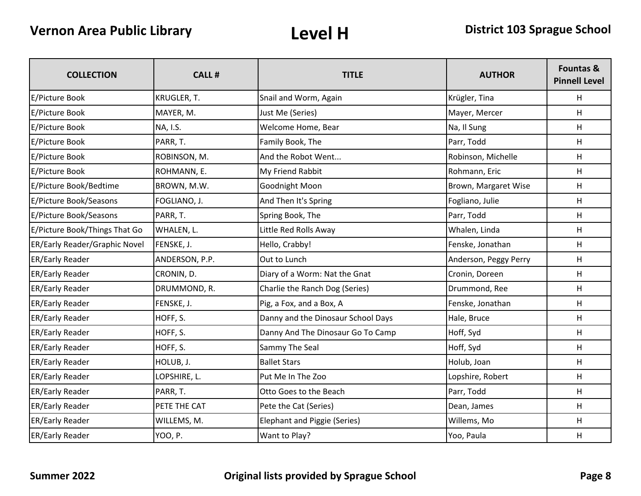| <b>COLLECTION</b>             | <b>CALL#</b>   | <b>TITLE</b>                        | <b>AUTHOR</b>         | <b>Fountas &amp;</b><br><b>Pinnell Level</b> |
|-------------------------------|----------------|-------------------------------------|-----------------------|----------------------------------------------|
| E/Picture Book                | KRUGLER, T.    | Snail and Worm, Again               | Krügler, Tina         | н                                            |
| E/Picture Book                | MAYER, M.      | Just Me (Series)                    | Mayer, Mercer         | H                                            |
| E/Picture Book                | NA, I.S.       | Welcome Home, Bear                  | Na, Il Sung           | H                                            |
| E/Picture Book                | PARR, T.       | Family Book, The                    | Parr, Todd            | н                                            |
| E/Picture Book                | ROBINSON, M.   | And the Robot Went                  | Robinson, Michelle    | н                                            |
| E/Picture Book                | ROHMANN, E.    | My Friend Rabbit                    | Rohmann, Eric         | н                                            |
| E/Picture Book/Bedtime        | BROWN, M.W.    | Goodnight Moon                      | Brown, Margaret Wise  | H                                            |
| E/Picture Book/Seasons        | FOGLIANO, J.   | And Then It's Spring                | Fogliano, Julie       | н                                            |
| E/Picture Book/Seasons        | PARR, T.       | Spring Book, The                    | Parr, Todd            | H                                            |
| E/Picture Book/Things That Go | WHALEN, L.     | Little Red Rolls Away               | Whalen, Linda         | H                                            |
| ER/Early Reader/Graphic Novel | FENSKE, J.     | Hello, Crabby!                      | Fenske, Jonathan      | н                                            |
| ER/Early Reader               | ANDERSON, P.P. | Out to Lunch                        | Anderson, Peggy Perry | н                                            |
| <b>ER/Early Reader</b>        | CRONIN, D.     | Diary of a Worm: Nat the Gnat       | Cronin, Doreen        | Н                                            |
| ER/Early Reader               | DRUMMOND, R.   | Charlie the Ranch Dog (Series)      | Drummond, Ree         | н                                            |
| ER/Early Reader               | FENSKE, J.     | Pig, a Fox, and a Box, A            | Fenske, Jonathan      | H                                            |
| ER/Early Reader               | HOFF, S.       | Danny and the Dinosaur School Days  | Hale, Bruce           | H                                            |
| <b>ER/Early Reader</b>        | HOFF, S.       | Danny And The Dinosaur Go To Camp   | Hoff, Syd             | н                                            |
| <b>ER/Early Reader</b>        | HOFF, S.       | Sammy The Seal                      | Hoff, Syd             | H                                            |
| ER/Early Reader               | HOLUB, J.      | <b>Ballet Stars</b>                 | Holub, Joan           | H                                            |
| <b>ER/Early Reader</b>        | LOPSHIRE, L.   | Put Me In The Zoo                   | Lopshire, Robert      | н                                            |
| <b>ER/Early Reader</b>        | PARR, T.       | Otto Goes to the Beach              | Parr, Todd            | H                                            |
| <b>ER/Early Reader</b>        | PETE THE CAT   | Pete the Cat (Series)               | Dean, James           | H                                            |
| <b>ER/Early Reader</b>        | WILLEMS, M.    | <b>Elephant and Piggie (Series)</b> | Willems, Mo           | н                                            |
| <b>ER/Early Reader</b>        | YOO, P.        | Want to Play?                       | Yoo, Paula            | $\mathsf{H}$                                 |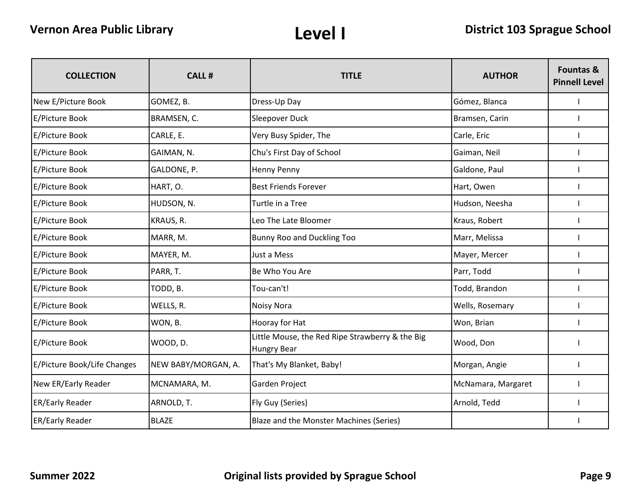| <b>COLLECTION</b>           | <b>CALL#</b>        | <b>TITLE</b>                                                          | <b>AUTHOR</b>      | <b>Fountas &amp;</b><br><b>Pinnell Level</b> |
|-----------------------------|---------------------|-----------------------------------------------------------------------|--------------------|----------------------------------------------|
| New E/Picture Book          | GOMEZ, B.           | Dress-Up Day                                                          | Gómez, Blanca      |                                              |
| E/Picture Book              | BRAMSEN, C.         | Sleepover Duck                                                        | Bramsen, Carin     |                                              |
| E/Picture Book              | CARLE, E.           | Very Busy Spider, The                                                 | Carle, Eric        |                                              |
| E/Picture Book              | GAIMAN, N.          | Chu's First Day of School                                             | Gaiman, Neil       |                                              |
| E/Picture Book              | GALDONE, P.         | <b>Henny Penny</b>                                                    | Galdone, Paul      |                                              |
| E/Picture Book              | HART, O.            | <b>Best Friends Forever</b>                                           | Hart, Owen         |                                              |
| E/Picture Book              | HUDSON, N.          | Turtle in a Tree                                                      | Hudson, Neesha     |                                              |
| E/Picture Book              | KRAUS, R.           | Leo The Late Bloomer                                                  | Kraus, Robert      |                                              |
| E/Picture Book              | MARR, M.            | Bunny Roo and Duckling Too                                            | Marr, Melissa      |                                              |
| E/Picture Book              | MAYER, M.           | Just a Mess                                                           | Mayer, Mercer      |                                              |
| E/Picture Book              | PARR, T.            | Be Who You Are                                                        | Parr, Todd         |                                              |
| E/Picture Book              | TODD, B.            | Tou-can't!                                                            | Todd, Brandon      |                                              |
| E/Picture Book              | WELLS, R.           | <b>Noisy Nora</b>                                                     | Wells, Rosemary    |                                              |
| E/Picture Book              | WON, B.             | Hooray for Hat                                                        | Won, Brian         |                                              |
| E/Picture Book              | WOOD, D.            | Little Mouse, the Red Ripe Strawberry & the Big<br><b>Hungry Bear</b> | Wood, Don          |                                              |
| E/Picture Book/Life Changes | NEW BABY/MORGAN, A. | That's My Blanket, Baby!                                              | Morgan, Angie      |                                              |
| New ER/Early Reader         | MCNAMARA, M.        | Garden Project                                                        | McNamara, Margaret |                                              |
| ER/Early Reader             | ARNOLD, T.          | Fly Guy (Series)                                                      | Arnold, Tedd       |                                              |
| <b>ER/Early Reader</b>      | <b>BLAZE</b>        | Blaze and the Monster Machines (Series)                               |                    |                                              |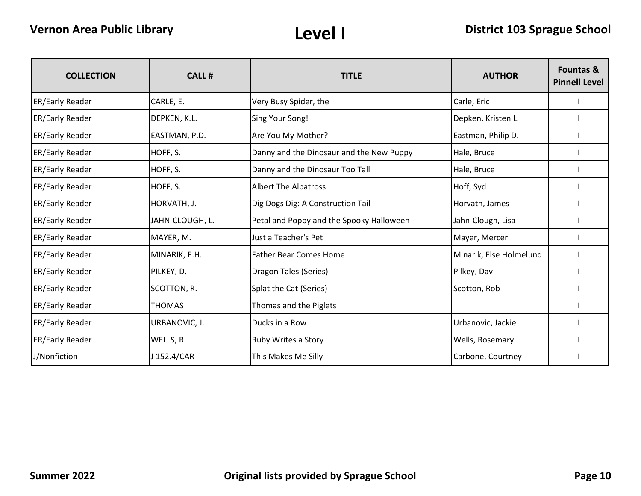| <b>COLLECTION</b>      | <b>CALL#</b>    | <b>TITLE</b>                             | <b>AUTHOR</b>           | <b>Fountas &amp;</b><br><b>Pinnell Level</b> |
|------------------------|-----------------|------------------------------------------|-------------------------|----------------------------------------------|
| <b>ER/Early Reader</b> | CARLE, E.       | Very Busy Spider, the                    | Carle, Eric             |                                              |
| <b>ER/Early Reader</b> | DEPKEN, K.L.    | Sing Your Song!                          | Depken, Kristen L.      |                                              |
| <b>ER/Early Reader</b> | EASTMAN, P.D.   | Are You My Mother?                       | Eastman, Philip D.      |                                              |
| <b>ER/Early Reader</b> | HOFF, S.        | Danny and the Dinosaur and the New Puppy | Hale, Bruce             |                                              |
| <b>ER/Early Reader</b> | HOFF, S.        | Danny and the Dinosaur Too Tall          | Hale, Bruce             |                                              |
| <b>ER/Early Reader</b> | HOFF, S.        | <b>Albert The Albatross</b>              | Hoff, Syd               |                                              |
| <b>ER/Early Reader</b> | HORVATH, J.     | Dig Dogs Dig: A Construction Tail        | Horvath, James          |                                              |
| <b>ER/Early Reader</b> | JAHN-CLOUGH, L. | Petal and Poppy and the Spooky Halloween | Jahn-Clough, Lisa       |                                              |
| <b>ER/Early Reader</b> | MAYER, M.       | Just a Teacher's Pet                     | Mayer, Mercer           |                                              |
| <b>ER/Early Reader</b> | MINARIK, E.H.   | <b>Father Bear Comes Home</b>            | Minarik, Else Holmelund |                                              |
| <b>ER/Early Reader</b> | PILKEY, D.      | Dragon Tales (Series)                    | Pilkey, Dav             |                                              |
| <b>ER/Early Reader</b> | SCOTTON, R.     | Splat the Cat (Series)                   | Scotton, Rob            |                                              |
| <b>ER/Early Reader</b> | <b>THOMAS</b>   | Thomas and the Piglets                   |                         |                                              |
| <b>ER/Early Reader</b> | URBANOVIC, J.   | Ducks in a Row                           | Urbanovic, Jackie       |                                              |
| <b>ER/Early Reader</b> | WELLS, R.       | Ruby Writes a Story                      | Wells, Rosemary         |                                              |
| J/Nonfiction           | J 152.4/CAR     | This Makes Me Silly                      | Carbone, Courtney       |                                              |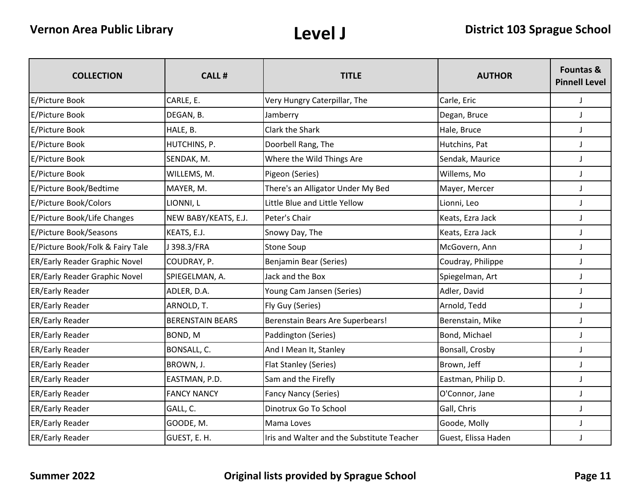| <b>COLLECTION</b>                | <b>CALL#</b>            | <b>TITLE</b>                               | <b>AUTHOR</b>       | <b>Fountas &amp;</b><br><b>Pinnell Level</b> |
|----------------------------------|-------------------------|--------------------------------------------|---------------------|----------------------------------------------|
| E/Picture Book                   | CARLE, E.               | Very Hungry Caterpillar, The               | Carle, Eric         | J                                            |
| E/Picture Book                   | DEGAN, B.               | Jamberry                                   | Degan, Bruce        | J                                            |
| E/Picture Book                   | HALE, B.                | Clark the Shark                            | Hale, Bruce         | J                                            |
| E/Picture Book                   | HUTCHINS, P.            | Doorbell Rang, The                         | Hutchins, Pat       | $\mathsf J$                                  |
| E/Picture Book                   | SENDAK, M.              | Where the Wild Things Are                  | Sendak, Maurice     | J                                            |
| E/Picture Book                   | WILLEMS, M.             | Pigeon (Series)                            | Willems, Mo         | J                                            |
| E/Picture Book/Bedtime           | MAYER, M.               | There's an Alligator Under My Bed          | Mayer, Mercer       | J                                            |
| E/Picture Book/Colors            | LIONNI, L               | Little Blue and Little Yellow              | Lionni, Leo         | J                                            |
| E/Picture Book/Life Changes      | NEW BABY/KEATS, E.J.    | Peter's Chair                              | Keats, Ezra Jack    | J                                            |
| E/Picture Book/Seasons           | KEATS, E.J.             | Snowy Day, The                             | Keats, Ezra Jack    | $\mathsf J$                                  |
| E/Picture Book/Folk & Fairy Tale | 398.3/FRA               | Stone Soup                                 | McGovern, Ann       | $\mathsf J$                                  |
| ER/Early Reader Graphic Novel    | COUDRAY, P.             | Benjamin Bear (Series)                     | Coudray, Philippe   | J                                            |
| ER/Early Reader Graphic Novel    | SPIEGELMAN, A.          | Jack and the Box                           | Spiegelman, Art     | J                                            |
| ER/Early Reader                  | ADLER, D.A.             | Young Cam Jansen (Series)                  | Adler, David        | J                                            |
| ER/Early Reader                  | ARNOLD, T.              | Fly Guy (Series)                           | Arnold, Tedd        | J                                            |
| ER/Early Reader                  | <b>BERENSTAIN BEARS</b> | Berenstain Bears Are Superbears!           | Berenstain, Mike    | $\mathsf J$                                  |
| ER/Early Reader                  | BOND, M                 | Paddington (Series)                        | Bond, Michael       | $\mathsf J$                                  |
| ER/Early Reader                  | BONSALL, C.             | And I Mean It, Stanley                     | Bonsall, Crosby     | J                                            |
| ER/Early Reader                  | BROWN, J.               | Flat Stanley (Series)                      | Brown, Jeff         | J                                            |
| ER/Early Reader                  | EASTMAN, P.D.           | Sam and the Firefly                        | Eastman, Philip D.  | J                                            |
| ER/Early Reader                  | <b>FANCY NANCY</b>      | <b>Fancy Nancy (Series)</b>                | O'Connor, Jane      | J                                            |
| <b>ER/Early Reader</b>           | GALL, C.                | Dinotrux Go To School                      | Gall, Chris         | J                                            |
| <b>ER/Early Reader</b>           | GOODE, M.               | Mama Loves                                 | Goode, Molly        | $\mathsf J$                                  |
| <b>ER/Early Reader</b>           | GUEST, E. H.            | Iris and Walter and the Substitute Teacher | Guest, Elissa Haden | J                                            |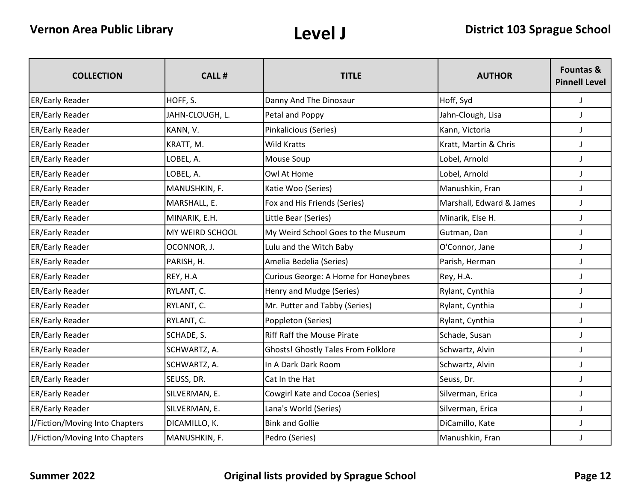| <b>COLLECTION</b>              | <b>CALL#</b>    | <b>TITLE</b>                               | <b>AUTHOR</b>            | <b>Fountas &amp;</b><br><b>Pinnell Level</b> |
|--------------------------------|-----------------|--------------------------------------------|--------------------------|----------------------------------------------|
| <b>ER/Early Reader</b>         | HOFF, S.        | Danny And The Dinosaur                     | Hoff, Syd                | $\mathsf J$                                  |
| <b>ER/Early Reader</b>         | JAHN-CLOUGH, L. | Petal and Poppy                            | Jahn-Clough, Lisa        | J                                            |
| ER/Early Reader                | KANN, V.        | Pinkalicious (Series)                      | Kann, Victoria           | $\mathbf{J}$                                 |
| <b>ER/Early Reader</b>         | KRATT, M.       | Wild Kratts                                | Kratt, Martin & Chris    | $\mathsf J$                                  |
| <b>ER/Early Reader</b>         | LOBEL, A.       | Mouse Soup                                 | Lobel, Arnold            | $\mathsf J$                                  |
| ER/Early Reader                | LOBEL, A.       | Owl At Home                                | Lobel, Arnold            | J                                            |
| ER/Early Reader                | MANUSHKIN, F.   | Katie Woo (Series)                         | Manushkin, Fran          | J                                            |
| ER/Early Reader                | MARSHALL, E.    | Fox and His Friends (Series)               | Marshall, Edward & James | J                                            |
| <b>ER/Early Reader</b>         | MINARIK, E.H.   | Little Bear (Series)                       | Minarik, Else H.         | J                                            |
| ER/Early Reader                | MY WEIRD SCHOOL | My Weird School Goes to the Museum         | Gutman, Dan              | $\mathsf J$                                  |
| ER/Early Reader                | OCONNOR, J.     | Lulu and the Witch Baby                    | O'Connor, Jane           | $\mathsf J$                                  |
| ER/Early Reader                | PARISH, H.      | Amelia Bedelia (Series)                    | Parish, Herman           | $\mathsf J$                                  |
| ER/Early Reader                | REY, H.A        | Curious George: A Home for Honeybees       | Rey, H.A.                | J                                            |
| ER/Early Reader                | RYLANT, C.      | Henry and Mudge (Series)                   | Rylant, Cynthia          | J                                            |
| ER/Early Reader                | RYLANT, C.      | Mr. Putter and Tabby (Series)              | Rylant, Cynthia          | J                                            |
| ER/Early Reader                | RYLANT, C.      | Poppleton (Series)                         | Rylant, Cynthia          | $\mathsf J$                                  |
| ER/Early Reader                | SCHADE, S.      | <b>Riff Raff the Mouse Pirate</b>          | Schade, Susan            | $\mathsf J$                                  |
| ER/Early Reader                | SCHWARTZ, A.    | <b>Ghosts! Ghostly Tales From Folklore</b> | Schwartz, Alvin          | J                                            |
| ER/Early Reader                | SCHWARTZ, A.    | In A Dark Dark Room                        | Schwartz, Alvin          | J                                            |
| ER/Early Reader                | SEUSS, DR.      | Cat In the Hat                             | Seuss, Dr.               | $\mathbf{J}$                                 |
| ER/Early Reader                | SILVERMAN, E.   | Cowgirl Kate and Cocoa (Series)            | Silverman, Erica         | J                                            |
| ER/Early Reader                | SILVERMAN, E.   | Lana's World (Series)                      | Silverman, Erica         | $\mathsf J$                                  |
| J/Fiction/Moving Into Chapters | DICAMILLO, K.   | <b>Bink and Gollie</b>                     | DiCamillo, Kate          | J                                            |
| J/Fiction/Moving Into Chapters | MANUSHKIN, F.   | Pedro (Series)                             | Manushkin, Fran          | J                                            |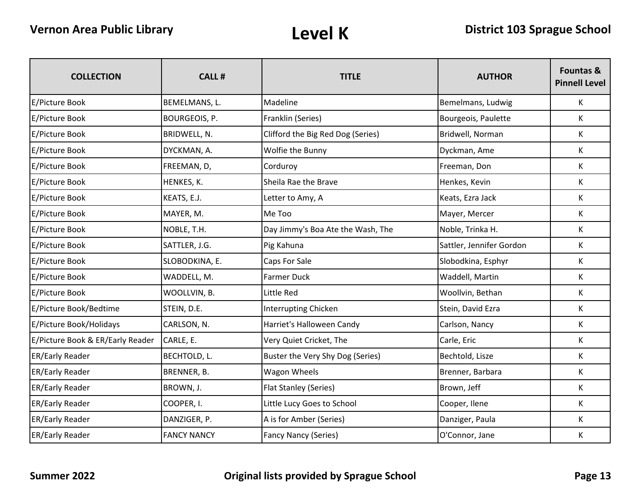| <b>COLLECTION</b>                | <b>CALL#</b>         | <b>TITLE</b>                      | <b>AUTHOR</b>            | Fountas &<br><b>Pinnell Level</b> |
|----------------------------------|----------------------|-----------------------------------|--------------------------|-----------------------------------|
| E/Picture Book                   | BEMELMANS, L.        | Madeline                          | Bemelmans, Ludwig        | K                                 |
| E/Picture Book                   | <b>BOURGEOIS, P.</b> | Franklin (Series)                 | Bourgeois, Paulette      | K                                 |
| E/Picture Book                   | BRIDWELL, N.         | Clifford the Big Red Dog (Series) | Bridwell, Norman         | K                                 |
| E/Picture Book                   | DYCKMAN, A.          | Wolfie the Bunny                  | Dyckman, Ame             | K                                 |
| E/Picture Book                   | FREEMAN, D,          | Corduroy                          | Freeman, Don             | K                                 |
| E/Picture Book                   | HENKES, K.           | Sheila Rae the Brave              | Henkes, Kevin            | K                                 |
| E/Picture Book                   | KEATS, E.J.          | Letter to Amy, A                  | Keats, Ezra Jack         | K                                 |
| E/Picture Book                   | MAYER, M.            | Me Too                            | Mayer, Mercer            | K                                 |
| E/Picture Book                   | NOBLE, T.H.          | Day Jimmy's Boa Ate the Wash, The | Noble, Trinka H.         | K                                 |
| E/Picture Book                   | SATTLER, J.G.        | Pig Kahuna                        | Sattler, Jennifer Gordon | К                                 |
| E/Picture Book                   | SLOBODKINA, E.       | Caps For Sale                     | Slobodkina, Esphyr       | K                                 |
| E/Picture Book                   | WADDELL, M.          | <b>Farmer Duck</b>                | Waddell, Martin          | K                                 |
| E/Picture Book                   | WOOLLVIN, B.         | Little Red                        | Woollvin, Bethan         | K                                 |
| E/Picture Book/Bedtime           | STEIN, D.E.          | <b>Interrupting Chicken</b>       | Stein, David Ezra        | $\mathsf{K}$                      |
| E/Picture Book/Holidays          | CARLSON, N.          | Harriet's Halloween Candy         | Carlson, Nancy           | K                                 |
| E/Picture Book & ER/Early Reader | CARLE, E.            | Very Quiet Cricket, The           | Carle, Eric              | K                                 |
| ER/Early Reader                  | BECHTOLD, L.         | Buster the Very Shy Dog (Series)  | Bechtold, Lisze          | K                                 |
| ER/Early Reader                  | BRENNER, B.          | <b>Wagon Wheels</b>               | Brenner, Barbara         | K                                 |
| ER/Early Reader                  | BROWN, J.            | Flat Stanley (Series)             | Brown, Jeff              | K                                 |
| ER/Early Reader                  | COOPER, I.           | Little Lucy Goes to School        | Cooper, Ilene            | K                                 |
| ER/Early Reader                  | DANZIGER, P.         | A is for Amber (Series)           | Danziger, Paula          | K                                 |
| <b>ER/Early Reader</b>           | <b>FANCY NANCY</b>   | Fancy Nancy (Series)              | O'Connor, Jane           | K                                 |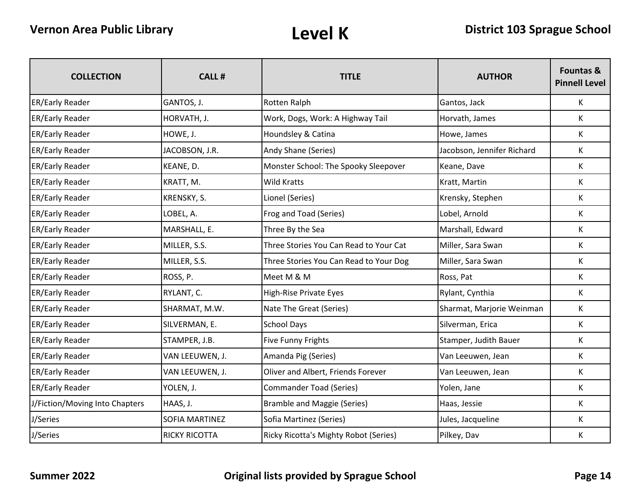| <b>COLLECTION</b>              | <b>CALL#</b>         | <b>TITLE</b>                           | <b>AUTHOR</b>              | <b>Fountas &amp;</b><br><b>Pinnell Level</b> |
|--------------------------------|----------------------|----------------------------------------|----------------------------|----------------------------------------------|
| <b>ER/Early Reader</b>         | GANTOS, J.           | Rotten Ralph                           | Gantos, Jack               | $\mathsf{K}$                                 |
| <b>ER/Early Reader</b>         | HORVATH, J.          | Work, Dogs, Work: A Highway Tail       | Horvath, James             | K                                            |
| <b>ER/Early Reader</b>         | HOWE, J.             | Houndsley & Catina                     | Howe, James                | K                                            |
| <b>ER/Early Reader</b>         | JACOBSON, J.R.       | Andy Shane (Series)                    | Jacobson, Jennifer Richard | K                                            |
| <b>ER/Early Reader</b>         | KEANE, D.            | Monster School: The Spooky Sleepover   | Keane, Dave                | K                                            |
| <b>ER/Early Reader</b>         | KRATT, M.            | <b>Wild Kratts</b>                     | Kratt, Martin              | K                                            |
| ER/Early Reader                | KRENSKY, S.          | Lionel (Series)                        | Krensky, Stephen           | K                                            |
| ER/Early Reader                | LOBEL, A.            | Frog and Toad (Series)                 | Lobel, Arnold              | K                                            |
| <b>ER/Early Reader</b>         | MARSHALL, E.         | Three By the Sea                       | Marshall, Edward           | K                                            |
| <b>ER/Early Reader</b>         | MILLER, S.S.         | Three Stories You Can Read to Your Cat | Miller, Sara Swan          | K                                            |
| <b>ER/Early Reader</b>         | MILLER, S.S.         | Three Stories You Can Read to Your Dog | Miller, Sara Swan          | K                                            |
| <b>ER/Early Reader</b>         | ROSS, P.             | Meet M & M                             | Ross, Pat                  | K                                            |
| <b>ER/Early Reader</b>         | RYLANT, C.           | <b>High-Rise Private Eyes</b>          | Rylant, Cynthia            | K                                            |
| <b>ER/Early Reader</b>         | SHARMAT, M.W.        | Nate The Great (Series)                | Sharmat, Marjorie Weinman  | K                                            |
| ER/Early Reader                | SILVERMAN, E.        | <b>School Days</b>                     | Silverman, Erica           | K                                            |
| <b>ER/Early Reader</b>         | STAMPER, J.B.        | <b>Five Funny Frights</b>              | Stamper, Judith Bauer      | K                                            |
| <b>ER/Early Reader</b>         | VAN LEEUWEN, J.      | Amanda Pig (Series)                    | Van Leeuwen, Jean          | K                                            |
| <b>ER/Early Reader</b>         | VAN LEEUWEN, J.      | Oliver and Albert, Friends Forever     | Van Leeuwen, Jean          | K                                            |
| <b>ER/Early Reader</b>         | YOLEN, J.            | <b>Commander Toad (Series)</b>         | Yolen, Jane                | K                                            |
| J/Fiction/Moving Into Chapters | HAAS, J.             | <b>Bramble and Maggie (Series)</b>     | Haas, Jessie               | K                                            |
| J/Series                       | SOFIA MARTINEZ       | Sofia Martinez (Series)                | Jules, Jacqueline          | K                                            |
| J/Series                       | <b>RICKY RICOTTA</b> | Ricky Ricotta's Mighty Robot (Series)  | Pilkey, Dav                | K                                            |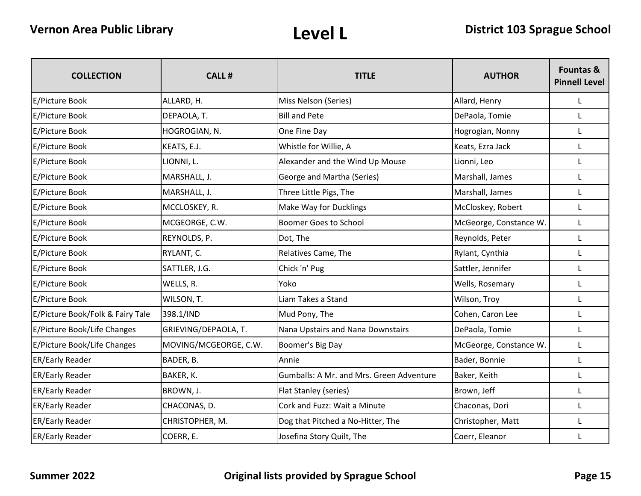| <b>COLLECTION</b>                | <b>CALL#</b>          | <b>TITLE</b>                             | <b>AUTHOR</b>          | <b>Fountas &amp;</b><br><b>Pinnell Level</b> |
|----------------------------------|-----------------------|------------------------------------------|------------------------|----------------------------------------------|
| E/Picture Book                   | ALLARD, H.            | Miss Nelson (Series)                     | Allard, Henry          | L                                            |
| E/Picture Book                   | DEPAOLA, T.           | <b>Bill and Pete</b>                     | DePaola, Tomie         | L                                            |
| E/Picture Book                   | HOGROGIAN, N.         | One Fine Day                             | Hogrogian, Nonny       | L                                            |
| E/Picture Book                   | KEATS, E.J.           | Whistle for Willie, A                    | Keats, Ezra Jack       |                                              |
| E/Picture Book                   | LIONNI, L.            | Alexander and the Wind Up Mouse          | Lionni, Leo            | L                                            |
| E/Picture Book                   | MARSHALL, J.          | George and Martha (Series)               | Marshall, James        | L                                            |
| E/Picture Book                   | MARSHALL, J.          | Three Little Pigs, The                   | Marshall, James        | L                                            |
| E/Picture Book                   | MCCLOSKEY, R.         | Make Way for Ducklings                   | McCloskey, Robert      | L                                            |
| E/Picture Book                   | MCGEORGE, C.W.        | <b>Boomer Goes to School</b>             | McGeorge, Constance W. | L                                            |
| E/Picture Book                   | REYNOLDS, P.          | Dot, The                                 | Reynolds, Peter        | L                                            |
| E/Picture Book                   | RYLANT, C.            | Relatives Came, The                      | Rylant, Cynthia        | L                                            |
| E/Picture Book                   | SATTLER, J.G.         | Chick 'n' Pug                            | Sattler, Jennifer      | L                                            |
| E/Picture Book                   | WELLS, R.             | Yoko                                     | Wells, Rosemary        | L                                            |
| E/Picture Book                   | WILSON, T.            | Liam Takes a Stand                       | Wilson, Troy           | L                                            |
| E/Picture Book/Folk & Fairy Tale | 398.1/IND             | Mud Pony, The                            | Cohen, Caron Lee       | L                                            |
| E/Picture Book/Life Changes      | GRIEVING/DEPAOLA, T.  | Nana Upstairs and Nana Downstairs        | DePaola, Tomie         | $\mathbf{L}$                                 |
| E/Picture Book/Life Changes      | MOVING/MCGEORGE, C.W. | Boomer's Big Day                         | McGeorge, Constance W. | $\mathsf{L}$                                 |
| <b>ER/Early Reader</b>           | BADER, B.             | Annie                                    | Bader, Bonnie          | L                                            |
| <b>ER/Early Reader</b>           | BAKER, K.             | Gumballs: A Mr. and Mrs. Green Adventure | Baker, Keith           | L                                            |
| <b>ER/Early Reader</b>           | BROWN, J.             | <b>Flat Stanley (series)</b>             | Brown, Jeff            | L                                            |
| <b>ER/Early Reader</b>           | CHACONAS, D.          | Cork and Fuzz: Wait a Minute             | Chaconas, Dori         | L                                            |
| <b>ER/Early Reader</b>           | CHRISTOPHER, M.       | Dog that Pitched a No-Hitter, The        | Christopher, Matt      | L                                            |
| <b>ER/Early Reader</b>           | COERR, E.             | Josefina Story Quilt, The                | Coerr, Eleanor         |                                              |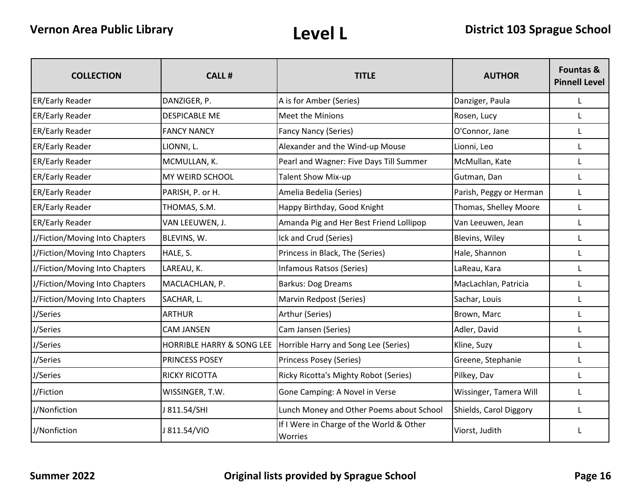| <b>COLLECTION</b>              | <b>CALL#</b>              | <b>TITLE</b>                                        | <b>AUTHOR</b>           | <b>Fountas &amp;</b><br><b>Pinnell Level</b> |
|--------------------------------|---------------------------|-----------------------------------------------------|-------------------------|----------------------------------------------|
| <b>ER/Early Reader</b>         | DANZIGER, P.              | A is for Amber (Series)                             | Danziger, Paula         | L                                            |
| <b>ER/Early Reader</b>         | <b>DESPICABLE ME</b>      | <b>Meet the Minions</b>                             | Rosen, Lucy             |                                              |
| <b>ER/Early Reader</b>         | <b>FANCY NANCY</b>        | <b>Fancy Nancy (Series)</b>                         | O'Connor, Jane          | L                                            |
| <b>ER/Early Reader</b>         | LIONNI, L.                | Alexander and the Wind-up Mouse                     | Lionni, Leo             |                                              |
| <b>ER/Early Reader</b>         | MCMULLAN, K.              | Pearl and Wagner: Five Days Till Summer             | McMullan, Kate          | L                                            |
| <b>ER/Early Reader</b>         | MY WEIRD SCHOOL           | <b>Talent Show Mix-up</b>                           | Gutman, Dan             |                                              |
| <b>ER/Early Reader</b>         | PARISH, P. or H.          | Amelia Bedelia (Series)                             | Parish, Peggy or Herman | L                                            |
| <b>ER/Early Reader</b>         | THOMAS, S.M.              | Happy Birthday, Good Knight                         | Thomas, Shelley Moore   | L                                            |
| <b>ER/Early Reader</b>         | VAN LEEUWEN, J.           | Amanda Pig and Her Best Friend Lollipop             | Van Leeuwen, Jean       | L                                            |
| J/Fiction/Moving Into Chapters | BLEVINS, W.               | Ick and Crud (Series)                               | Blevins, Wiley          | L                                            |
| J/Fiction/Moving Into Chapters | HALE, S.                  | Princess in Black, The (Series)                     | Hale, Shannon           | L                                            |
| J/Fiction/Moving Into Chapters | LAREAU, K.                | Infamous Ratsos (Series)                            | LaReau, Kara            |                                              |
| J/Fiction/Moving Into Chapters | MACLACHLAN, P.            | <b>Barkus: Dog Dreams</b>                           | MacLachlan, Patricia    |                                              |
| J/Fiction/Moving Into Chapters | SACHAR, L.                | Marvin Redpost (Series)                             | Sachar, Louis           |                                              |
| J/Series                       | <b>ARTHUR</b>             | Arthur (Series)                                     | Brown, Marc             | L                                            |
| J/Series                       | <b>CAM JANSEN</b>         | Cam Jansen (Series)                                 | Adler, David            |                                              |
| J/Series                       | HORRIBLE HARRY & SONG LEE | Horrible Harry and Song Lee (Series)                | Kline, Suzy             | L                                            |
| J/Series                       | PRINCESS POSEY            | Princess Posey (Series)                             | Greene, Stephanie       |                                              |
| J/Series                       | <b>RICKY RICOTTA</b>      | Ricky Ricotta's Mighty Robot (Series)               | Pilkey, Dav             | L                                            |
| J/Fiction                      | WISSINGER, T.W.           | Gone Camping: A Novel in Verse                      | Wissinger, Tamera Will  |                                              |
| J/Nonfiction                   | J 811.54/SHI              | Lunch Money and Other Poems about School            | Shields, Carol Diggory  | $\mathbf{L}$                                 |
| J/Nonfiction                   | J 811.54/VIO              | If I Were in Charge of the World & Other<br>Worries | Viorst, Judith          |                                              |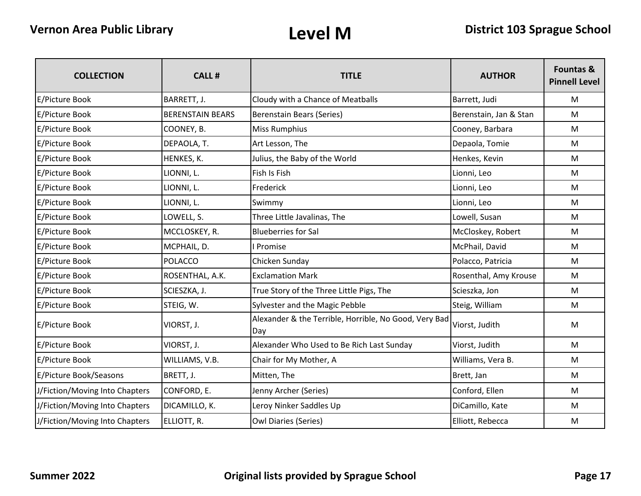| <b>COLLECTION</b>              | <b>CALL#</b>            | <b>TITLE</b>                                                 | <b>AUTHOR</b>          | <b>Fountas &amp;</b><br><b>Pinnell Level</b> |
|--------------------------------|-------------------------|--------------------------------------------------------------|------------------------|----------------------------------------------|
| E/Picture Book                 | BARRETT, J.             | Cloudy with a Chance of Meatballs                            | Barrett, Judi          | M                                            |
| E/Picture Book                 | <b>BERENSTAIN BEARS</b> | <b>Berenstain Bears (Series)</b>                             | Berenstain, Jan & Stan | M                                            |
| E/Picture Book                 | COONEY, B.              | <b>Miss Rumphius</b>                                         | Cooney, Barbara        | M                                            |
| E/Picture Book                 | DEPAOLA, T.             | Art Lesson, The                                              | Depaola, Tomie         | M                                            |
| E/Picture Book                 | HENKES, K.              | Julius, the Baby of the World                                | Henkes, Kevin          | M                                            |
| E/Picture Book                 | LIONNI, L.              | Fish Is Fish                                                 | Lionni, Leo            | M                                            |
| E/Picture Book                 | LIONNI, L.              | Frederick                                                    | Lionni, Leo            | M                                            |
| E/Picture Book                 | LIONNI, L.              | Swimmy                                                       | Lionni, Leo            | M                                            |
| E/Picture Book                 | LOWELL, S.              | Three Little Javalinas, The                                  | Lowell, Susan          | M                                            |
| E/Picture Book                 | MCCLOSKEY, R.           | <b>Blueberries for Sal</b>                                   | McCloskey, Robert      | M                                            |
| E/Picture Book                 | MCPHAIL, D.             | Promise                                                      | McPhail, David         | M                                            |
| E/Picture Book                 | <b>POLACCO</b>          | Chicken Sunday                                               | Polacco, Patricia      | M                                            |
| E/Picture Book                 | ROSENTHAL, A.K.         | <b>Exclamation Mark</b>                                      | Rosenthal, Amy Krouse  | M                                            |
| E/Picture Book                 | SCIESZKA, J.            | True Story of the Three Little Pigs, The                     | Scieszka, Jon          | M                                            |
| E/Picture Book                 | STEIG, W.               | Sylvester and the Magic Pebble                               | Steig, William         | M                                            |
| E/Picture Book                 | VIORST, J.              | Alexander & the Terrible, Horrible, No Good, Very Bad<br>Dav | Viorst, Judith         | M                                            |
| E/Picture Book                 | VIORST, J.              | Alexander Who Used to Be Rich Last Sunday                    | Viorst, Judith         | M                                            |
| E/Picture Book                 | WILLIAMS, V.B.          | Chair for My Mother, A                                       | Williams, Vera B.      | M                                            |
| E/Picture Book/Seasons         | BRETT, J.               | Mitten, The                                                  | Brett, Jan             | M                                            |
| J/Fiction/Moving Into Chapters | CONFORD, E.             | Jenny Archer (Series)                                        | Conford, Ellen         | M                                            |
| J/Fiction/Moving Into Chapters | DICAMILLO, K.           | Leroy Ninker Saddles Up                                      | DiCamillo, Kate        | M                                            |
| J/Fiction/Moving Into Chapters | ELLIOTT, R.             | <b>Owl Diaries (Series)</b>                                  | Elliott, Rebecca       | M                                            |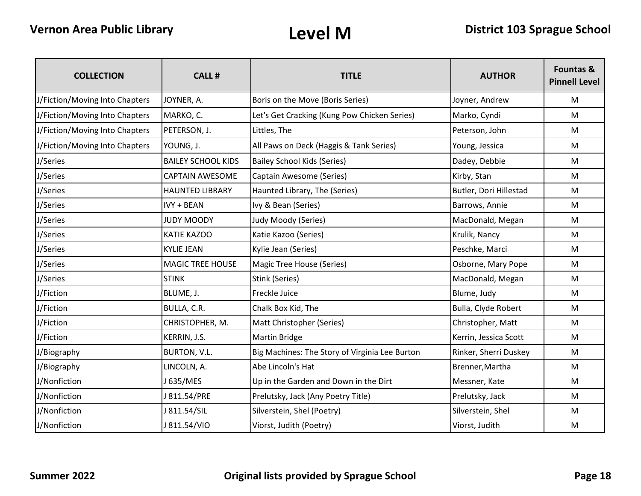| <b>COLLECTION</b>              | <b>CALL#</b>              | <b>TITLE</b>                                   | <b>AUTHOR</b>          | <b>Fountas &amp;</b><br><b>Pinnell Level</b> |
|--------------------------------|---------------------------|------------------------------------------------|------------------------|----------------------------------------------|
| J/Fiction/Moving Into Chapters | JOYNER, A.                | Boris on the Move (Boris Series)               | Joyner, Andrew         | M                                            |
| J/Fiction/Moving Into Chapters | MARKO, C.                 | Let's Get Cracking (Kung Pow Chicken Series)   | Marko, Cyndi           | M                                            |
| J/Fiction/Moving Into Chapters | PETERSON, J.              | Littles, The                                   | Peterson, John         | M                                            |
| J/Fiction/Moving Into Chapters | YOUNG, J.                 | All Paws on Deck (Haggis & Tank Series)        | Young, Jessica         | M                                            |
| J/Series                       | <b>BAILEY SCHOOL KIDS</b> | <b>Bailey School Kids (Series)</b>             | Dadey, Debbie          | M                                            |
| J/Series                       | <b>CAPTAIN AWESOME</b>    | Captain Awesome (Series)                       | Kirby, Stan            | M                                            |
| J/Series                       | <b>HAUNTED LIBRARY</b>    | Haunted Library, The (Series)                  | Butler, Dori Hillestad | M                                            |
| J/Series                       | <b>IVY + BEAN</b>         | Ivy & Bean (Series)                            | Barrows, Annie         | M                                            |
| J/Series                       | JUDY MOODY                | Judy Moody (Series)                            | MacDonald, Megan       | M                                            |
| J/Series                       | <b>KATIE KAZOO</b>        | Katie Kazoo (Series)                           | Krulik, Nancy          | M                                            |
| J/Series                       | <b>KYLIE JEAN</b>         | Kylie Jean (Series)                            | Peschke, Marci         | M                                            |
| J/Series                       | <b>MAGIC TREE HOUSE</b>   | <b>Magic Tree House (Series)</b>               | Osborne, Mary Pope     | M                                            |
| J/Series                       | <b>STINK</b>              | Stink (Series)                                 | MacDonald, Megan       | M                                            |
| J/Fiction                      | BLUME, J.                 | Freckle Juice                                  | Blume, Judy            | M                                            |
| J/Fiction                      | BULLA, C.R.               | Chalk Box Kid, The                             | Bulla, Clyde Robert    | M                                            |
| J/Fiction                      | CHRISTOPHER, M.           | Matt Christopher (Series)                      | Christopher, Matt      | M                                            |
| J/Fiction                      | KERRIN, J.S.              | <b>Martin Bridge</b>                           | Kerrin, Jessica Scott  | M                                            |
| J/Biography                    | BURTON, V.L.              | Big Machines: The Story of Virginia Lee Burton | Rinker, Sherri Duskey  | M                                            |
| J/Biography                    | LINCOLN, A.               | Abe Lincoln's Hat                              | Brenner, Martha        | M                                            |
| J/Nonfiction                   | J 635/MES                 | Up in the Garden and Down in the Dirt          | Messner, Kate          | M                                            |
| J/Nonfiction                   | J 811.54/PRE              | Prelutsky, Jack (Any Poetry Title)             | Prelutsky, Jack        | M                                            |
| J/Nonfiction                   | J 811.54/SIL              | Silverstein, Shel (Poetry)                     | Silverstein, Shel      | M                                            |
| J/Nonfiction                   | J 811.54/VIO              | Viorst, Judith (Poetry)                        | Viorst, Judith         | M                                            |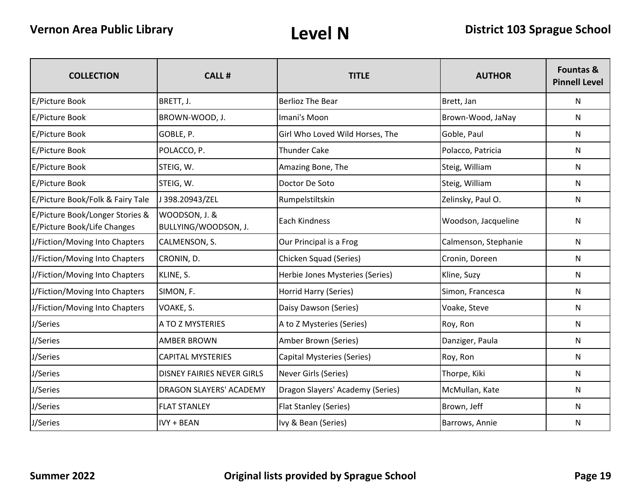| <b>COLLECTION</b>                                              | <b>CALL#</b>                          | <b>TITLE</b>                     | <b>AUTHOR</b>        | <b>Fountas &amp;</b><br><b>Pinnell Level</b> |
|----------------------------------------------------------------|---------------------------------------|----------------------------------|----------------------|----------------------------------------------|
| <b>E/Picture Book</b>                                          | BRETT, J.                             | <b>Berlioz The Bear</b>          | Brett, Jan           | $\mathsf{N}$                                 |
| E/Picture Book                                                 | BROWN-WOOD, J.                        | Imani's Moon                     | Brown-Wood, JaNay    | N                                            |
| E/Picture Book                                                 | GOBLE, P.                             | Girl Who Loved Wild Horses, The  | Goble, Paul          | N.                                           |
| E/Picture Book                                                 | POLACCO, P.                           | <b>Thunder Cake</b>              | Polacco, Patricia    | N                                            |
| E/Picture Book                                                 | STEIG, W.                             | Amazing Bone, The                | Steig, William       | N.                                           |
| E/Picture Book                                                 | STEIG, W.                             | Doctor De Soto                   | Steig, William       | N                                            |
| E/Picture Book/Folk & Fairy Tale                               | J398.20943/ZEL                        | Rumpelstiltskin                  | Zelinsky, Paul O.    | N                                            |
| E/Picture Book/Longer Stories &<br>E/Picture Book/Life Changes | WOODSON, J. &<br>BULLYING/WOODSON, J. | Each Kindness                    | Woodson, Jacqueline  | N                                            |
| J/Fiction/Moving Into Chapters                                 | CALMENSON, S.                         | Our Principal is a Frog          | Calmenson, Stephanie | N                                            |
| J/Fiction/Moving Into Chapters                                 | CRONIN, D.                            | Chicken Squad (Series)           | Cronin, Doreen       | N                                            |
| J/Fiction/Moving Into Chapters                                 | KLINE, S.                             | Herbie Jones Mysteries (Series)  | Kline, Suzy          | N                                            |
| J/Fiction/Moving Into Chapters                                 | SIMON, F.                             | Horrid Harry (Series)            | Simon, Francesca     | N                                            |
| J/Fiction/Moving Into Chapters                                 | VOAKE, S.                             | Daisy Dawson (Series)            | Voake, Steve         | N                                            |
| J/Series                                                       | A TO Z MYSTERIES                      | A to Z Mysteries (Series)        | Roy, Ron             | N                                            |
| J/Series                                                       | <b>AMBER BROWN</b>                    | Amber Brown (Series)             | Danziger, Paula      | N                                            |
| J/Series                                                       | <b>CAPITAL MYSTERIES</b>              | Capital Mysteries (Series)       | Roy, Ron             | N                                            |
| J/Series                                                       | <b>DISNEY FAIRIES NEVER GIRLS</b>     | Never Girls (Series)             | Thorpe, Kiki         | N                                            |
| J/Series                                                       | DRAGON SLAYERS' ACADEMY               | Dragon Slayers' Academy (Series) | McMullan, Kate       | N                                            |
| J/Series                                                       | <b>FLAT STANLEY</b>                   | Flat Stanley (Series)            | Brown, Jeff          | $\mathsf{N}$                                 |
| J/Series                                                       | <b>IVY + BEAN</b>                     | Ivy & Bean (Series)              | Barrows, Annie       | N                                            |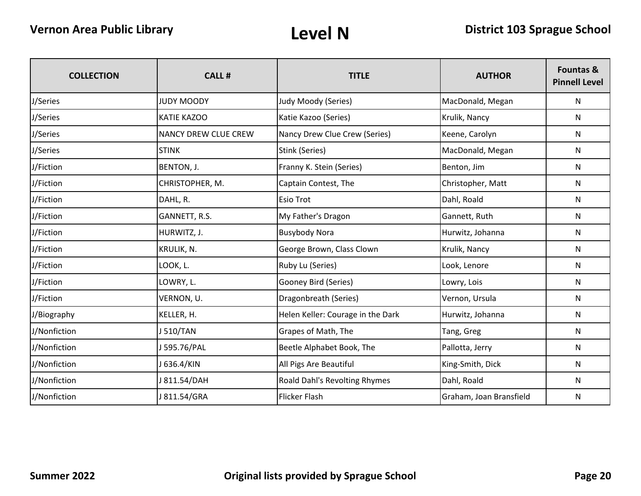| <b>COLLECTION</b> | CALL #                      | <b>TITLE</b>                      | <b>AUTHOR</b>           | <b>Fountas &amp;</b><br><b>Pinnell Level</b> |
|-------------------|-----------------------------|-----------------------------------|-------------------------|----------------------------------------------|
| J/Series          | <b>JUDY MOODY</b>           | Judy Moody (Series)               | MacDonald, Megan        | N                                            |
| J/Series          | <b>KATIE KAZOO</b>          | Katie Kazoo (Series)              | Krulik, Nancy           | N                                            |
| J/Series          | <b>NANCY DREW CLUE CREW</b> | Nancy Drew Clue Crew (Series)     | Keene, Carolyn          | N                                            |
| J/Series          | <b>STINK</b>                | Stink (Series)                    | MacDonald, Megan        | N                                            |
| J/Fiction         | BENTON, J.                  | Franny K. Stein (Series)          | Benton, Jim             | N                                            |
| J/Fiction         | CHRISTOPHER, M.             | Captain Contest, The              | Christopher, Matt       | N                                            |
| J/Fiction         | DAHL, R.                    | <b>Esio Trot</b>                  | Dahl, Roald             | N                                            |
| J/Fiction         | GANNETT, R.S.               | My Father's Dragon                | Gannett, Ruth           | N                                            |
| J/Fiction         | HURWITZ, J.                 | <b>Busybody Nora</b>              | Hurwitz, Johanna        | N                                            |
| J/Fiction         | KRULIK, N.                  | George Brown, Class Clown         | Krulik, Nancy           | N                                            |
| J/Fiction         | LOOK, L.                    | Ruby Lu (Series)                  | Look, Lenore            | N                                            |
| J/Fiction         | LOWRY, L.                   | Gooney Bird (Series)              | Lowry, Lois             | N                                            |
| J/Fiction         | VERNON, U.                  | Dragonbreath (Series)             | Vernon, Ursula          | N                                            |
| J/Biography       | KELLER, H.                  | Helen Keller: Courage in the Dark | Hurwitz, Johanna        | N                                            |
| J/Nonfiction      | J 510/TAN                   | Grapes of Math, The               | Tang, Greg              | N                                            |
| J/Nonfiction      | J 595.76/PAL                | Beetle Alphabet Book, The         | Pallotta, Jerry         | N                                            |
| J/Nonfiction      | J 636.4/KIN                 | All Pigs Are Beautiful            | King-Smith, Dick        | N                                            |
| J/Nonfiction      | J 811.54/DAH                | Roald Dahl's Revolting Rhymes     | Dahl, Roald             | N                                            |
| J/Nonfiction      | J 811.54/GRA                | <b>Flicker Flash</b>              | Graham, Joan Bransfield | N                                            |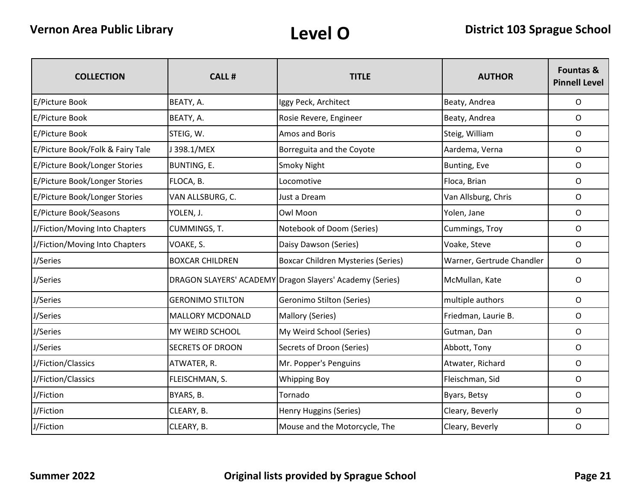| <b>COLLECTION</b>                | <b>CALL#</b>            | <b>TITLE</b>                                             | <b>AUTHOR</b>             | <b>Fountas &amp;</b><br><b>Pinnell Level</b> |
|----------------------------------|-------------------------|----------------------------------------------------------|---------------------------|----------------------------------------------|
| E/Picture Book                   | BEATY, A.               | Iggy Peck, Architect                                     | Beaty, Andrea             | $\mathsf{O}$                                 |
| E/Picture Book                   | BEATY, A.               | Rosie Revere, Engineer                                   | Beaty, Andrea             | 0                                            |
| E/Picture Book                   | STEIG, W.               | Amos and Boris                                           | Steig, William            | O                                            |
| E/Picture Book/Folk & Fairy Tale | J398.1/MEX              | Borreguita and the Coyote                                | Aardema, Verna            | 0                                            |
| E/Picture Book/Longer Stories    | <b>BUNTING, E.</b>      | Smoky Night                                              | Bunting, Eve              | O                                            |
| E/Picture Book/Longer Stories    | FLOCA, B.               | Locomotive                                               | Floca, Brian              | $\mathsf{O}$                                 |
| E/Picture Book/Longer Stories    | VAN ALLSBURG, C.        | Just a Dream                                             | Van Allsburg, Chris       | 0                                            |
| E/Picture Book/Seasons           | YOLEN, J.               | Owl Moon                                                 | Yolen, Jane               | $\mathsf{O}$                                 |
| J/Fiction/Moving Into Chapters   | <b>CUMMINGS, T.</b>     | Notebook of Doom (Series)                                | Cummings, Troy            | $\mathsf{O}$                                 |
| J/Fiction/Moving Into Chapters   | VOAKE, S.               | Daisy Dawson (Series)                                    | Voake, Steve              | 0                                            |
| J/Series                         | <b>BOXCAR CHILDREN</b>  | <b>Boxcar Children Mysteries (Series)</b>                | Warner, Gertrude Chandler | $\mathsf{O}$                                 |
| J/Series                         |                         | DRAGON SLAYERS' ACADEMY Dragon Slayers' Academy (Series) | McMullan, Kate            | 0                                            |
| J/Series                         | <b>GERONIMO STILTON</b> | Geronimo Stilton (Series)                                | multiple authors          | 0                                            |
| J/Series                         | <b>MALLORY MCDONALD</b> | Mallory (Series)                                         | Friedman, Laurie B.       | 0                                            |
| J/Series                         | <b>MY WEIRD SCHOOL</b>  | My Weird School (Series)                                 | Gutman, Dan               | 0                                            |
| J/Series                         | <b>SECRETS OF DROON</b> | Secrets of Droon (Series)                                | Abbott, Tony              | 0                                            |
| J/Fiction/Classics               | ATWATER, R.             | Mr. Popper's Penguins                                    | Atwater, Richard          | 0                                            |
| J/Fiction/Classics               | FLEISCHMAN, S.          | <b>Whipping Boy</b>                                      | Fleischman, Sid           | 0                                            |
| J/Fiction                        | BYARS, B.               | Tornado                                                  | Byars, Betsy              | $\mathsf{O}$                                 |
| J/Fiction                        | CLEARY, B.              | Henry Huggins (Series)                                   | Cleary, Beverly           | $\circ$                                      |
| J/Fiction                        | CLEARY, B.              | Mouse and the Motorcycle, The                            | Cleary, Beverly           | O                                            |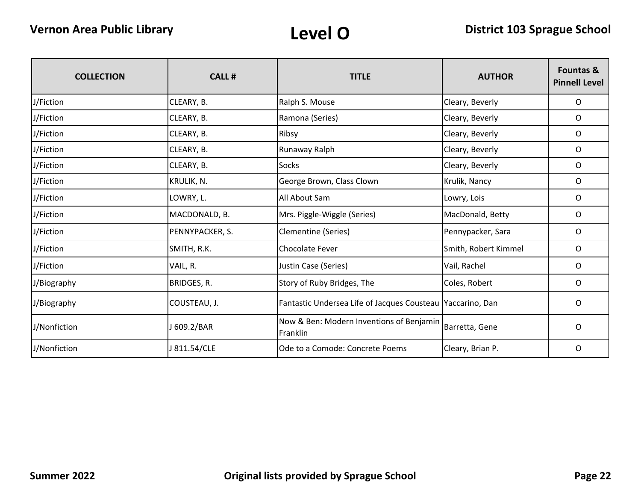| <b>COLLECTION</b> | <b>CALL#</b>    | <b>TITLE</b>                                               | <b>AUTHOR</b>        | <b>Fountas &amp;</b><br><b>Pinnell Level</b> |
|-------------------|-----------------|------------------------------------------------------------|----------------------|----------------------------------------------|
| J/Fiction         | CLEARY, B.      | Ralph S. Mouse                                             | Cleary, Beverly      | O                                            |
| J/Fiction         | CLEARY, B.      | Ramona (Series)                                            | Cleary, Beverly      | O                                            |
| J/Fiction         | CLEARY, B.      | Ribsy                                                      | Cleary, Beverly      | 0                                            |
| J/Fiction         | CLEARY, B.      | Runaway Ralph                                              | Cleary, Beverly      | 0                                            |
| J/Fiction         | CLEARY, B.      | <b>Socks</b>                                               | Cleary, Beverly      | O                                            |
| J/Fiction         | KRULIK, N.      | George Brown, Class Clown                                  | Krulik, Nancy        | O                                            |
| J/Fiction         | LOWRY, L.       | All About Sam                                              | Lowry, Lois          | O                                            |
| J/Fiction         | MACDONALD, B.   | Mrs. Piggle-Wiggle (Series)                                | MacDonald, Betty     | 0                                            |
| J/Fiction         | PENNYPACKER, S. | Clementine (Series)                                        | Pennypacker, Sara    | 0                                            |
| J/Fiction         | SMITH, R.K.     | Chocolate Fever                                            | Smith, Robert Kimmel | O                                            |
| J/Fiction         | VAIL, R.        | Justin Case (Series)                                       | Vail, Rachel         | O                                            |
| J/Biography       | BRIDGES, R.     | Story of Ruby Bridges, The                                 | Coles, Robert        | 0                                            |
| J/Biography       | COUSTEAU, J.    | Fantastic Undersea Life of Jacques Cousteau Yaccarino, Dan |                      | $\circ$                                      |
| J/Nonfiction      | J 609.2/BAR     | Now & Ben: Modern Inventions of Benjamin<br>Franklin       | Barretta, Gene       | O                                            |
| J/Nonfiction      | J 811.54/CLE    | Ode to a Comode: Concrete Poems                            | Cleary, Brian P.     | 0                                            |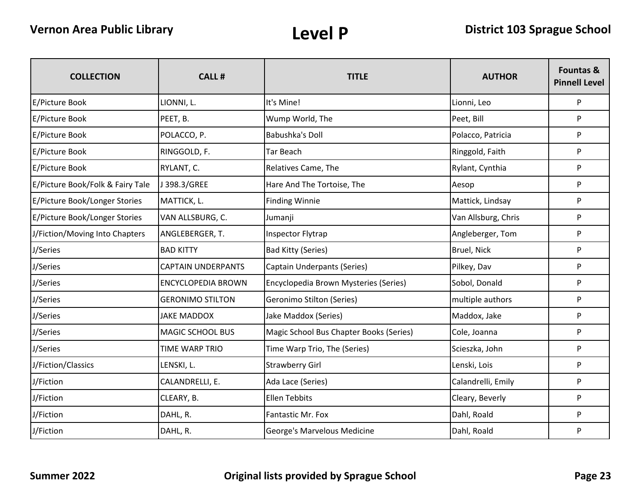| <b>COLLECTION</b>                | <b>CALL#</b>              | <b>TITLE</b>                            | <b>AUTHOR</b>       | <b>Fountas &amp;</b><br><b>Pinnell Level</b> |
|----------------------------------|---------------------------|-----------------------------------------|---------------------|----------------------------------------------|
| <b>E/Picture Book</b>            | LIONNI, L.                | It's Mine!                              | Lionni, Leo         | P                                            |
| <b>E/Picture Book</b>            | PEET, B.                  | Wump World, The                         | Peet, Bill          | P                                            |
| E/Picture Book                   | POLACCO, P.               | <b>Babushka's Doll</b>                  | Polacco, Patricia   | P                                            |
| <b>E/Picture Book</b>            | RINGGOLD, F.              | <b>Tar Beach</b>                        | Ringgold, Faith     | P                                            |
| E/Picture Book                   | RYLANT, C.                | Relatives Came, The                     | Rylant, Cynthia     | P                                            |
| E/Picture Book/Folk & Fairy Tale | J398.3/GREE               | Hare And The Tortoise, The              | Aesop               | P                                            |
| E/Picture Book/Longer Stories    | MATTICK, L.               | <b>Finding Winnie</b>                   | Mattick, Lindsay    | P                                            |
| E/Picture Book/Longer Stories    | VAN ALLSBURG, C.          | Jumanji                                 | Van Allsburg, Chris | P                                            |
| J/Fiction/Moving Into Chapters   | ANGLEBERGER, T.           | Inspector Flytrap                       | Angleberger, Tom    | P                                            |
| J/Series                         | <b>BAD KITTY</b>          | <b>Bad Kitty (Series)</b>               | Bruel, Nick         | P                                            |
| J/Series                         | <b>CAPTAIN UNDERPANTS</b> | Captain Underpants (Series)             | Pilkey, Dav         | P                                            |
| J/Series                         | <b>ENCYCLOPEDIA BROWN</b> | Encyclopedia Brown Mysteries (Series)   | Sobol, Donald       | P                                            |
| J/Series                         | <b>GERONIMO STILTON</b>   | <b>Geronimo Stilton (Series)</b>        | multiple authors    | P                                            |
| J/Series                         | <b>JAKE MADDOX</b>        | Jake Maddox (Series)                    | Maddox, Jake        | P                                            |
| J/Series                         | <b>MAGIC SCHOOL BUS</b>   | Magic School Bus Chapter Books (Series) | Cole, Joanna        | P                                            |
| J/Series                         | <b>TIME WARP TRIO</b>     | Time Warp Trio, The (Series)            | Scieszka, John      | P                                            |
| J/Fiction/Classics               | LENSKI, L.                | <b>Strawberry Girl</b>                  | Lenski, Lois        | P                                            |
| J/Fiction                        | CALANDRELLI, E.           | Ada Lace (Series)                       | Calandrelli, Emily  | P                                            |
| J/Fiction                        | CLEARY, B.                | <b>Ellen Tebbits</b>                    | Cleary, Beverly     | P                                            |
| J/Fiction                        | DAHL, R.                  | Fantastic Mr. Fox                       | Dahl, Roald         | P                                            |
| J/Fiction                        | DAHL, R.                  | George's Marvelous Medicine             | Dahl, Roald         | P                                            |